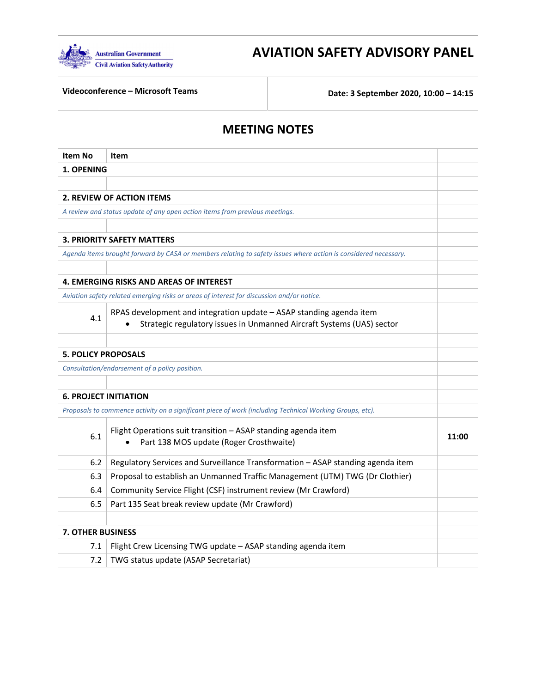

# **AVIATION SAFETY ADVISORY PANEL**

 **Videoconference – Microsoft Teams Date: 3 September 2020, 10:00 – 14:15**

## **MEETING NOTES**

| Item No                      | <b>Item</b>                                                                                                     |       |
|------------------------------|-----------------------------------------------------------------------------------------------------------------|-------|
| 1. OPENING                   |                                                                                                                 |       |
|                              |                                                                                                                 |       |
|                              | <b>2. REVIEW OF ACTION ITEMS</b>                                                                                |       |
|                              | A review and status update of any open action items from previous meetings.                                     |       |
|                              |                                                                                                                 |       |
|                              | <b>3. PRIORITY SAFETY MATTERS</b>                                                                               |       |
|                              | Agenda items brought forward by CASA or members relating to safety issues where action is considered necessary. |       |
|                              |                                                                                                                 |       |
|                              | 4. EMERGING RISKS AND AREAS OF INTEREST                                                                         |       |
|                              | Aviation safety related emerging risks or areas of interest for discussion and/or notice.                       |       |
| 4.1                          | RPAS development and integration update - ASAP standing agenda item                                             |       |
|                              | Strategic regulatory issues in Unmanned Aircraft Systems (UAS) sector                                           |       |
|                              |                                                                                                                 |       |
| <b>5. POLICY PROPOSALS</b>   |                                                                                                                 |       |
|                              | Consultation/endorsement of a policy position.                                                                  |       |
|                              |                                                                                                                 |       |
| <b>6. PROJECT INITIATION</b> |                                                                                                                 |       |
|                              | Proposals to commence activity on a significant piece of work (including Technical Working Groups, etc).        |       |
|                              | Flight Operations suit transition - ASAP standing agenda item                                                   |       |
| 6.1                          | Part 138 MOS update (Roger Crosthwaite)                                                                         | 11:00 |
|                              |                                                                                                                 |       |
|                              | Regulatory Services and Surveillance Transformation - ASAP standing agenda item<br>6.2                          |       |
|                              | Proposal to establish an Unmanned Traffic Management (UTM) TWG (Dr Clothier)<br>6.3                             |       |
|                              | Community Service Flight (CSF) instrument review (Mr Crawford)<br>6.4                                           |       |
|                              | 6.5<br>Part 135 Seat break review update (Mr Crawford)                                                          |       |
|                              |                                                                                                                 |       |
| <b>7. OTHER BUSINESS</b>     |                                                                                                                 |       |
| 7.1                          | Flight Crew Licensing TWG update - ASAP standing agenda item                                                    |       |
| 7.2                          | TWG status update (ASAP Secretariat)                                                                            |       |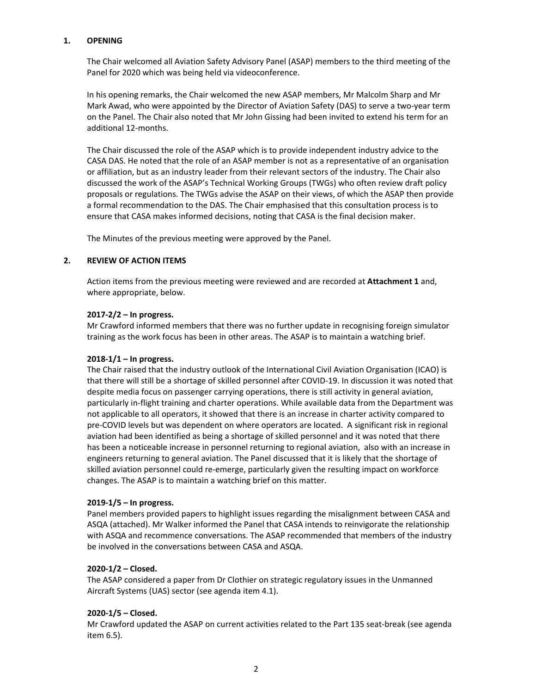#### **1. OPENING**

 The Chair welcomed all Aviation Safety Advisory Panel (ASAP) members to the third meeting of the Panel for 2020 which was being held via videoconference.

 In his opening remarks, the Chair welcomed the new ASAP members, Mr Malcolm Sharp and Mr Mark Awad, who were appointed by the Director of Aviation Safety (DAS) to serve a two‐year term on the Panel. The Chair also noted that Mr John Gissing had been invited to extend his term for an additional 12‐months.

 The Chair discussed the role of the ASAP which is to provide independent industry advice to the CASA DAS. He noted that the role of an ASAP member is not as a representative of an organisation or affiliation, but as an industry leader from their relevant sectors of the industry. The Chair also discussed the work of the ASAP's Technical Working Groups (TWGs) who often review draft policy proposals or regulations. The TWGs advise the ASAP on their views, of which the ASAP then provide a formal recommendation to the DAS. The Chair emphasised that this consultation process is to ensure that CASA makes informed decisions, noting that CASA is the final decision maker.

The Minutes of the previous meeting were approved by the Panel.

## **2. REVIEW OF ACTION ITEMS**

 Action items from the previous meeting were reviewed and are recorded at **Attachment 1** and, where appropriate, below.

## **2017‐2/2 – In progress.**

 Mr Crawford informed members that there was no further update in recognising foreign simulator training as the work focus has been in other areas. The ASAP is to maintain a watching brief.

## **2018‐1/1 – In progress.**

 The Chair raised that the industry outlook of the International Civil Aviation Organisation (ICAO) is that there will still be a shortage of skilled personnel after COVID‐19. In discussion it was noted that despite media focus on passenger carrying operations, there is still activity in general aviation, particularly in‐flight training and charter operations. While available data from the Department was not applicable to all operators, it showed that there is an increase in charter activity compared to pre‐COVID levels but was dependent on where operators are located. A significant risk in regional aviation had been identified as being a shortage of skilled personnel and it was noted that there has been a noticeable increase in personnel returning to regional aviation, also with an increase in engineers returning to general aviation. The Panel discussed that it is likely that the shortage of skilled aviation personnel could re‐emerge, particularly given the resulting impact on workforce changes. The ASAP is to maintain a watching brief on this matter.

#### **2019‐1/5 – In progress.**

 Panel members provided papers to highlight issues regarding the misalignment between CASA and ASQA (attached). Mr Walker informed the Panel that CASA intends to reinvigorate the relationship with ASQA and recommence conversations. The ASAP recommended that members of the industry be involved in the conversations between CASA and ASQA.

## **2020‐1/2 – Closed.**

 The ASAP considered a paper from Dr Clothier on strategic regulatory issues in the Unmanned Aircraft Systems (UAS) sector (see agenda item 4.1).

#### **2020‐1/5 – Closed.**

 Mr Crawford updated the ASAP on current activities related to the Part 135 seat‐break (see agenda item 6.5).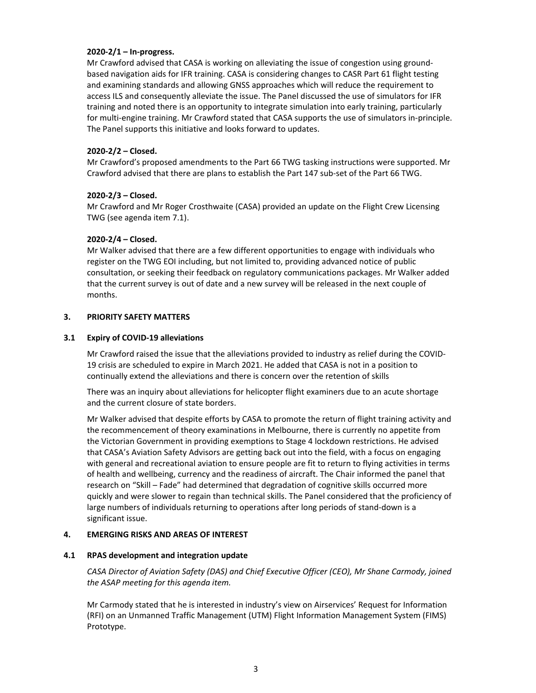## **2020‐2/1 – In‐progress.**

 Mr Crawford advised that CASA is working on alleviating the issue of congestion using ground‐ based navigation aids for IFR training. CASA is considering changes to CASR Part 61 flight testing and examining standards and allowing GNSS approaches which will reduce the requirement to access ILS and consequently alleviate the issue. The Panel discussed the use of simulators for IFR training and noted there is an opportunity to integrate simulation into early training, particularly for multi‐engine training. Mr Crawford stated that CASA supports the use of simulators in‐principle. The Panel supports this initiative and looks forward to updates.

## **2020‐2/2 – Closed.**

 Mr Crawford's proposed amendments to the Part 66 TWG tasking instructions were supported. Mr Crawford advised that there are plans to establish the Part 147 sub‐set of the Part 66 TWG.

## **2020‐2/3 – Closed.**

 Mr Crawford and Mr Roger Crosthwaite (CASA) provided an update on the Flight Crew Licensing TWG (see agenda item 7.1).

## **2020‐2/4 – Closed.**

 Mr Walker advised that there are a few different opportunities to engage with individuals who register on the TWG EOI including, but not limited to, providing advanced notice of public consultation, or seeking their feedback on regulatory communications packages. Mr Walker added that the current survey is out of date and a new survey will be released in the next couple of months.

#### **3. PRIORITY SAFETY MATTERS**

## **3.1 Expiry of COVID‐19 alleviations**

 Mr Crawford raised the issue that the alleviations provided to industry as relief during the COVID‐ 19 crisis are scheduled to expire in March 2021. He added that CASA is not in a position to continually extend the alleviations and there is concern over the retention of skills

 There was an inquiry about alleviations for helicopter flight examiners due to an acute shortage and the current closure of state borders.

 Mr Walker advised that despite efforts by CASA to promote the return of flight training activity and the recommencement of theory examinations in Melbourne, there is currently no appetite from the Victorian Government in providing exemptions to Stage 4 lockdown restrictions. He advised that CASA's Aviation Safety Advisors are getting back out into the field, with a focus on engaging with general and recreational aviation to ensure people are fit to return to flying activities in terms of health and wellbeing, currency and the readiness of aircraft. The Chair informed the panel that research on "Skill – Fade" had determined that degradation of cognitive skills occurred more quickly and were slower to regain than technical skills. The Panel considered that the proficiency of large numbers of individuals returning to operations after long periods of stand‐down is a significant issue.

#### **4. EMERGING RISKS AND AREAS OF INTEREST**

#### **4.1 RPAS development and integration update**

CASA Director of Aviation Safety (DAS) and Chief Executive Officer (CEO), Mr Shane Carmody, joined  *the ASAP meeting for this agenda item.*

 Mr Carmody stated that he is interested in industry's view on Airservices' Request for Information (RFI) on an Unmanned Traffic Management (UTM) Flight Information Management System (FIMS) Prototype.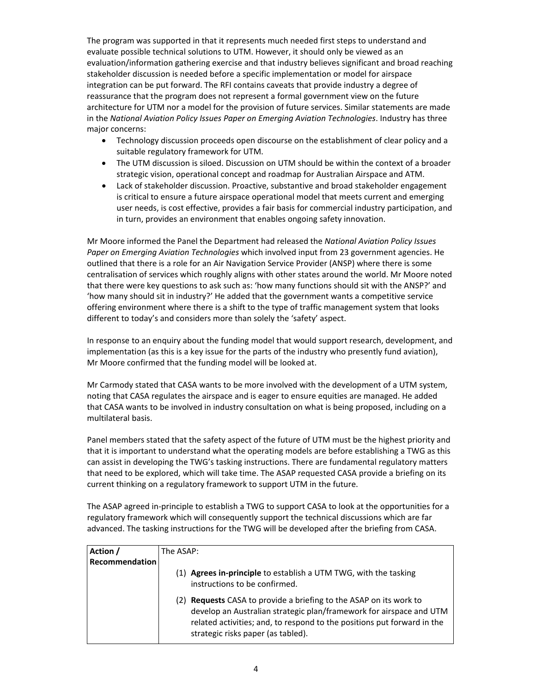The program was supported in that it represents much needed first steps to understand and evaluate possible technical solutions to UTM. However, it should only be viewed as an evaluation/information gathering exercise and that industry believes significant and broad reaching stakeholder discussion is needed before a specific implementation or model for airspace integration can be put forward. The RFI contains caveats that provide industry a degree of reassurance that the program does not represent a formal government view on the future architecture for UTM nor a model for the provision of future services. Similar statements are made  in the *National Aviation Policy Issues Paper on Emerging Aviation Technologies*. Industry has three major concerns:

- Technology discussion proceeds open discourse on the establishment of clear policy and a suitable regulatory framework for UTM.
- The UTM discussion is siloed. Discussion on UTM should be within the context of a broader strategic vision, operational concept and roadmap for Australian Airspace and ATM.
- Lack of stakeholder discussion. Proactive, substantive and broad stakeholder engagement is critical to ensure a future airspace operational model that meets current and emerging user needs, is cost effective, provides a fair basis for commercial industry participation, and in turn, provides an environment that enables ongoing safety innovation.

  Mr Moore informed the Panel the Department had released the *National Aviation Policy Issues Paper on Emerging Aviation Technologies* which involved input from 23 government agencies. He outlined that there is a role for an Air Navigation Service Provider (ANSP) where there is some centralisation of services which roughly aligns with other states around the world. Mr Moore noted that there were key questions to ask such as: 'how many functions should sit with the ANSP?' and 'how many should sit in industry?' He added that the government wants a competitive service offering environment where there is a shift to the type of traffic management system that looks different to today's and considers more than solely the 'safety' aspect.

 In response to an enquiry about the funding model that would support research, development, and implementation (as this is a key issue for the parts of the industry who presently fund aviation), Mr Moore confirmed that the funding model will be looked at.

 Mr Carmody stated that CASA wants to be more involved with the development of a UTM system, noting that CASA regulates the airspace and is eager to ensure equities are managed. He added that CASA wants to be involved in industry consultation on what is being proposed, including on a multilateral basis.

 Panel members stated that the safety aspect of the future of UTM must be the highest priority and that it is important to understand what the operating models are before establishing a TWG as this can assist in developing the TWG's tasking instructions. There are fundamental regulatory matters that need to be explored, which will take time. The ASAP requested CASA provide a briefing on its current thinking on a regulatory framework to support UTM in the future.

 The ASAP agreed in‐principle to establish a TWG to support CASA to look at the opportunities for a regulatory framework which will consequently support the technical discussions which are far advanced. The tasking instructions for the TWG will be developed after the briefing from CASA.

| Action /       | The ASAP:                                                                                                                                                                                                                                                  |  |  |
|----------------|------------------------------------------------------------------------------------------------------------------------------------------------------------------------------------------------------------------------------------------------------------|--|--|
| Recommendation |                                                                                                                                                                                                                                                            |  |  |
|                | (1) Agrees in-principle to establish a UTM TWG, with the tasking<br>instructions to be confirmed.                                                                                                                                                          |  |  |
|                | (2) Requests CASA to provide a briefing to the ASAP on its work to<br>develop an Australian strategic plan/framework for airspace and UTM<br>related activities; and, to respond to the positions put forward in the<br>strategic risks paper (as tabled). |  |  |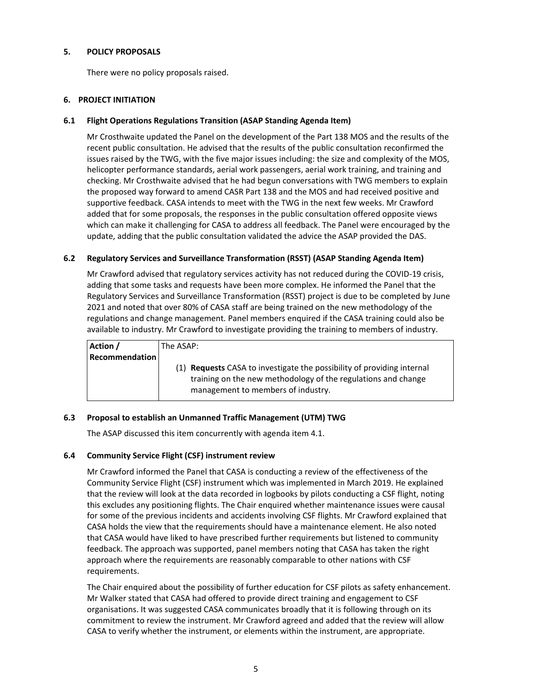## **5. POLICY PROPOSALS**

There were no policy proposals raised.

## **6. PROJECT INITIATION**

## **6.1 Flight Operations Regulations Transition (ASAP Standing Agenda Item)**

 Mr Crosthwaite updated the Panel on the development of the Part 138 MOS and the results of the recent public consultation. He advised that the results of the public consultation reconfirmed the issues raised by the TWG, with the five major issues including: the size and complexity of the MOS, helicopter performance standards, aerial work passengers, aerial work training, and training and checking. Mr Crosthwaite advised that he had begun conversations with TWG members to explain the proposed way forward to amend CASR Part 138 and the MOS and had received positive and supportive feedback. CASA intends to meet with the TWG in the next few weeks. Mr Crawford added that for some proposals, the responses in the public consultation offered opposite views which can make it challenging for CASA to address all feedback. The Panel were encouraged by the update, adding that the public consultation validated the advice the ASAP provided the DAS.

## **6.2 Regulatory Services and Surveillance Transformation (RSST) (ASAP Standing Agenda Item)**

 Mr Crawford advised that regulatory services activity has not reduced during the COVID‐19 crisis, adding that some tasks and requests have been more complex. He informed the Panel that the Regulatory Services and Surveillance Transformation (RSST) project is due to be completed by June 2021 and noted that over 80% of CASA staff are being trained on the new methodology of the regulations and change management. Panel members enquired if the CASA training could also be available to industry. Mr Crawford to investigate providing the training to members of industry.

| Action /              | The ASAP:                                                                                                                                                                            |
|-----------------------|--------------------------------------------------------------------------------------------------------------------------------------------------------------------------------------|
| <b>Recommendation</b> |                                                                                                                                                                                      |
|                       | (1) <b>Requests</b> CASA to investigate the possibility of providing internal<br>training on the new methodology of the regulations and change<br>management to members of industry. |

## **6.3 Proposal to establish an Unmanned Traffic Management (UTM) TWG**

The ASAP discussed this item concurrently with agenda item 4.1.

#### **6.4 Community Service Flight (CSF) instrument review**

 Mr Crawford informed the Panel that CASA is conducting a review of the effectiveness of the Community Service Flight (CSF) instrument which was implemented in March 2019. He explained that the review will look at the data recorded in logbooks by pilots conducting a CSF flight, noting this excludes any positioning flights. The Chair enquired whether maintenance issues were causal for some of the previous incidents and accidents involving CSF flights. Mr Crawford explained that CASA holds the view that the requirements should have a maintenance element. He also noted that CASA would have liked to have prescribed further requirements but listened to community feedback. The approach was supported, panel members noting that CASA has taken the right approach where the requirements are reasonably comparable to other nations with CSF requirements.

 The Chair enquired about the possibility of further education for CSF pilots as safety enhancement. Mr Walker stated that CASA had offered to provide direct training and engagement to CSF organisations. It was suggested CASA communicates broadly that it is following through on its commitment to review the instrument. Mr Crawford agreed and added that the review will allow CASA to verify whether the instrument, or elements within the instrument, are appropriate.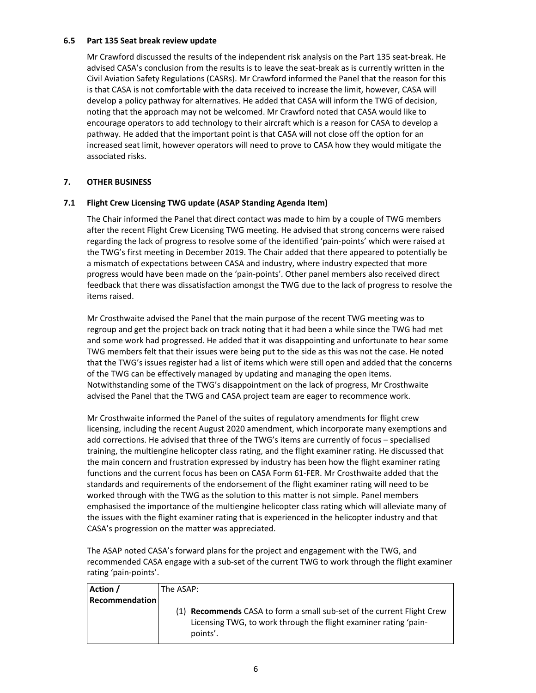#### **6.5 Part 135 Seat break review update**

 Mr Crawford discussed the results of the independent risk analysis on the Part 135 seat‐break. He advised CASA's conclusion from the results is to leave the seat‐break as is currently written in the Civil Aviation Safety Regulations (CASRs). Mr Crawford informed the Panel that the reason for this is that CASA is not comfortable with the data received to increase the limit, however, CASA will develop a policy pathway for alternatives. He added that CASA will inform the TWG of decision, noting that the approach may not be welcomed. Mr Crawford noted that CASA would like to encourage operators to add technology to their aircraft which is a reason for CASA to develop a pathway. He added that the important point is that CASA will not close off the option for an increased seat limit, however operators will need to prove to CASA how they would mitigate the associated risks.

## **7. OTHER BUSINESS**

## **7.1 Flight Crew Licensing TWG update (ASAP Standing Agenda Item)**

 The Chair informed the Panel that direct contact was made to him by a couple of TWG members after the recent Flight Crew Licensing TWG meeting. He advised that strong concerns were raised regarding the lack of progress to resolve some of the identified 'pain‐points' which were raised at the TWG's first meeting in December 2019. The Chair added that there appeared to potentially be a mismatch of expectations between CASA and industry, where industry expected that more progress would have been made on the 'pain‐points'. Other panel members also received direct feedback that there was dissatisfaction amongst the TWG due to the lack of progress to resolve the items raised.

 Mr Crosthwaite advised the Panel that the main purpose of the recent TWG meeting was to regroup and get the project back on track noting that it had been a while since the TWG had met and some work had progressed. He added that it was disappointing and unfortunate to hear some TWG members felt that their issues were being put to the side as this was not the case. He noted that the TWG's issues register had a list of items which were still open and added that the concerns of the TWG can be effectively managed by updating and managing the open items. Notwithstanding some of the TWG's disappointment on the lack of progress, Mr Crosthwaite advised the Panel that the TWG and CASA project team are eager to recommence work.

 Mr Crosthwaite informed the Panel of the suites of regulatory amendments for flight crew licensing, including the recent August 2020 amendment, which incorporate many exemptions and add corrections. He advised that three of the TWG's items are currently of focus – specialised training, the multiengine helicopter class rating, and the flight examiner rating. He discussed that the main concern and frustration expressed by industry has been how the flight examiner rating functions and the current focus has been on CASA Form 61‐FER. Mr Crosthwaite added that the standards and requirements of the endorsement of the flight examiner rating will need to be worked through with the TWG as the solution to this matter is not simple. Panel members emphasised the importance of the multiengine helicopter class rating which will alleviate many of the issues with the flight examiner rating that is experienced in the helicopter industry and that CASA's progression on the matter was appreciated.

 The ASAP noted CASA's forward plans for the project and engagement with the TWG, and recommended CASA engage with a sub‐set of the current TWG to work through the flight examiner rating 'pain‐points'.

| Action /              | The ASAP:                                                                                                                                                     |
|-----------------------|---------------------------------------------------------------------------------------------------------------------------------------------------------------|
| <b>Recommendation</b> |                                                                                                                                                               |
|                       | (1) <b>Recommends</b> CASA to form a small sub-set of the current Flight Crew<br>Licensing TWG, to work through the flight examiner rating 'pain-<br>points'. |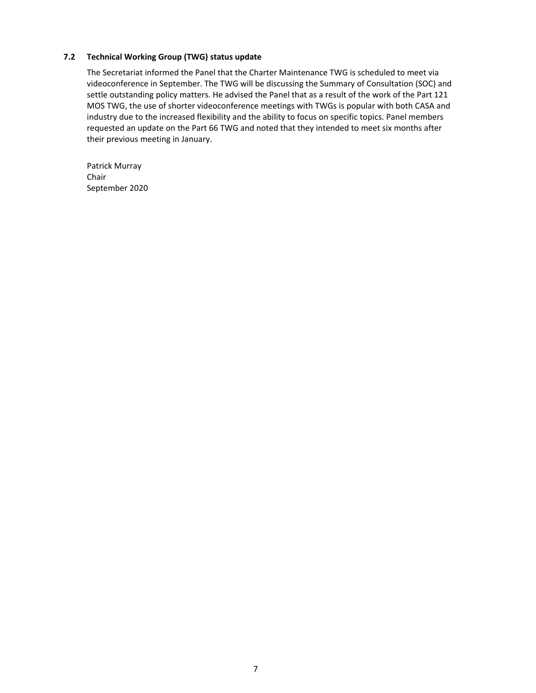## **7.2 Technical Working Group (TWG) status update**

 The Secretariat informed the Panel that the Charter Maintenance TWG is scheduled to meet via videoconference in September. The TWG will be discussing the Summary of Consultation (SOC) and settle outstanding policy matters. He advised the Panel that as a result of the work of the Part 121 MOS TWG, the use of shorter videoconference meetings with TWGs is popular with both CASA and industry due to the increased flexibility and the ability to focus on specific topics. Panel members requested an update on the Part 66 TWG and noted that they intended to meet six months after their previous meeting in January.

 Patrick Murray September 2020 Chair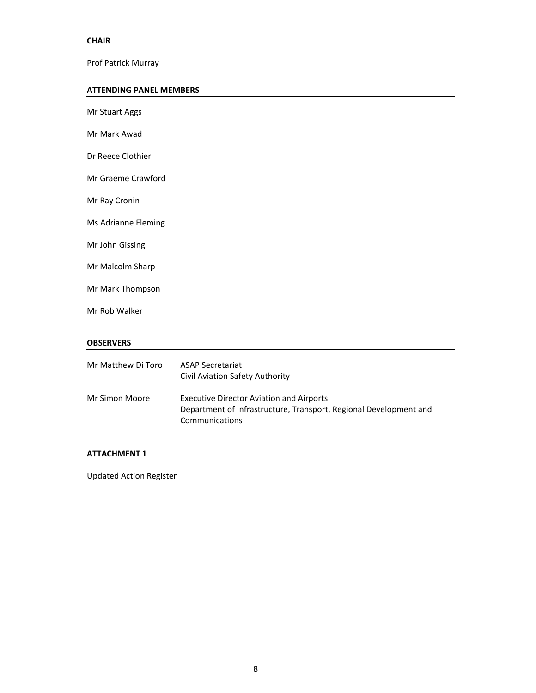Prof Patrick Murray

#### **ATTENDING PANEL MEMBERS**

| Mr Stuart Aggs      |                                                                                                                                        |
|---------------------|----------------------------------------------------------------------------------------------------------------------------------------|
| Mr Mark Awad        |                                                                                                                                        |
| Dr Reece Clothier   |                                                                                                                                        |
| Mr Graeme Crawford  |                                                                                                                                        |
| Mr Ray Cronin       |                                                                                                                                        |
| Ms Adrianne Fleming |                                                                                                                                        |
| Mr John Gissing     |                                                                                                                                        |
| Mr Malcolm Sharp    |                                                                                                                                        |
| Mr Mark Thompson    |                                                                                                                                        |
| Mr Rob Walker       |                                                                                                                                        |
| <b>OBSERVERS</b>    |                                                                                                                                        |
| Mr Matthew Di Toro  | <b>ASAP Secretariat</b><br>Civil Aviation Safety Authority                                                                             |
| Mr Simon Moore      | <b>Executive Director Aviation and Airports</b><br>Department of Infrastructure, Transport, Regional Development and<br>Communications |
| ATTACHMENT 1        |                                                                                                                                        |

Updated Action Register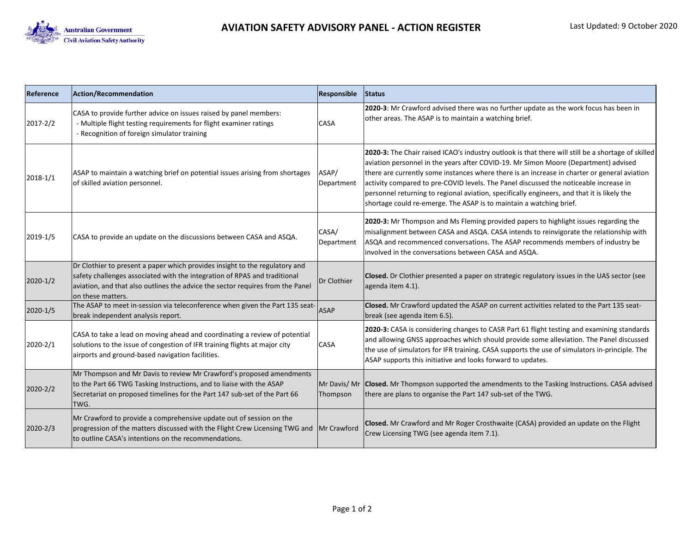

| Reference | <b>Action/Recommendation</b>                                                                                                                                                                                                                                    | Responsible             | Status                                                                                                                                                                                                                                                                                                                                                                                                                                                                                                                                                   |
|-----------|-----------------------------------------------------------------------------------------------------------------------------------------------------------------------------------------------------------------------------------------------------------------|-------------------------|----------------------------------------------------------------------------------------------------------------------------------------------------------------------------------------------------------------------------------------------------------------------------------------------------------------------------------------------------------------------------------------------------------------------------------------------------------------------------------------------------------------------------------------------------------|
| 2017-2/2  | CASA to provide further advice on issues raised by panel members:<br>- Multiple flight testing requirements for flight examiner ratings<br>- Recognition of foreign simulator training                                                                          | CASA                    | 2020-3: Mr Crawford advised there was no further update as the work focus has been in<br>other areas. The ASAP is to maintain a watching brief.                                                                                                                                                                                                                                                                                                                                                                                                          |
| 2018-1/1  | ASAP to maintain a watching brief on potential issues arising from shortages<br>of skilled aviation personnel.                                                                                                                                                  | ASAP/<br>Department     | 2020-3: The Chair raised ICAO's industry outlook is that there will still be a shortage of skilled<br>aviation personnel in the years after COVID-19. Mr Simon Moore (Department) advised<br>there are currently some instances where there is an increase in charter or general aviation<br>activity compared to pre-COVID levels. The Panel discussed the noticeable increase in<br>personnel returning to regional aviation, specifically engineers, and that it is likely the<br>shortage could re-emerge. The ASAP is to maintain a watching brief. |
| 2019-1/5  | CASA to provide an update on the discussions between CASA and ASQA.                                                                                                                                                                                             | CASA/<br>Department     | 2020-3: Mr Thompson and Ms Fleming provided papers to highlight issues regarding the<br>misalignment between CASA and ASQA. CASA intends to reinvigorate the relationship with<br>ASQA and recommenced conversations. The ASAP recommends members of industry be<br>involved in the conversations between CASA and ASQA.                                                                                                                                                                                                                                 |
| 2020-1/2  | Dr Clothier to present a paper which provides insight to the regulatory and<br>safety challenges associated with the integration of RPAS and traditional<br>aviation, and that also outlines the advice the sector requires from the Panel<br>on these matters. | Dr Clothier             | Closed. Dr Clothier presented a paper on strategic regulatory issues in the UAS sector (see<br>agenda item 4.1).                                                                                                                                                                                                                                                                                                                                                                                                                                         |
| 2020-1/5  | The ASAP to meet in-session via teleconference when given the Part 135 seat-<br>break independent analysis report.                                                                                                                                              | <b>ASAP</b>             | Closed. Mr Crawford updated the ASAP on current activities related to the Part 135 seat-<br>break (see agenda item 6.5).                                                                                                                                                                                                                                                                                                                                                                                                                                 |
| 2020-2/1  | CASA to take a lead on moving ahead and coordinating a review of potential<br>solutions to the issue of congestion of IFR training flights at major city<br>airports and ground-based navigation facilities.                                                    | CASA                    | 2020-3: CASA is considering changes to CASR Part 61 flight testing and examining standards<br>and allowing GNSS approaches which should provide some alleviation. The Panel discussed<br>the use of simulators for IFR training. CASA supports the use of simulators in-principle. The<br>ASAP supports this initiative and looks forward to updates.                                                                                                                                                                                                    |
| 2020-2/2  | Mr Thompson and Mr Davis to review Mr Crawford's proposed amendments<br>to the Part 66 TWG Tasking Instructions, and to liaise with the ASAP<br>Secretariat on proposed timelines for the Part 147 sub-set of the Part 66<br>TWG.                               | Mr Davis/Mr<br>Thompson | Closed. Mr Thompson supported the amendments to the Tasking Instructions. CASA advised<br>there are plans to organise the Part 147 sub-set of the TWG.                                                                                                                                                                                                                                                                                                                                                                                                   |
| 2020-2/3  | Mr Crawford to provide a comprehensive update out of session on the<br>progression of the matters discussed with the Flight Crew Licensing TWG and<br>to outline CASA's intentions on the recommendations.                                                      | Mr Crawford             | Closed. Mr Crawford and Mr Roger Crosthwaite (CASA) provided an update on the Flight<br>Crew Licensing TWG (see agenda item 7.1).                                                                                                                                                                                                                                                                                                                                                                                                                        |